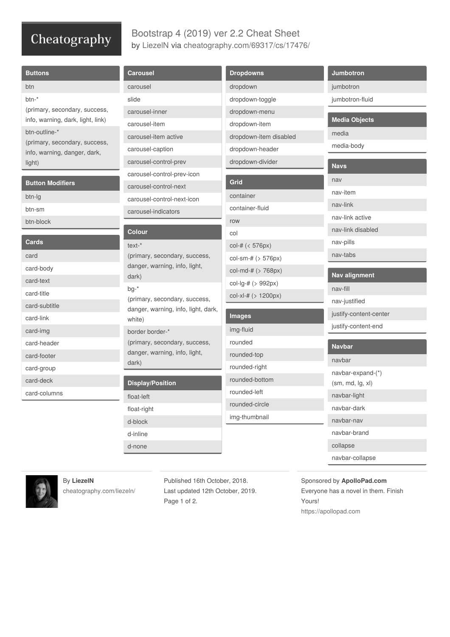# Cheatography

### Bootstrap 4 (2019) ver 2.2 Cheat Sheet by [LiezelN](http://www.cheatography.com/liezeln/) via [cheatography.com/69317/cs/17476/](http://www.cheatography.com/liezeln/cheat-sheets/bootstrap-4-2019-ver-2-2)

| <b>Buttons</b>                                                     | <b>Carousel</b>                                                                                                                                                     | <b>Dropdowns</b>       | <b>Jumbotron</b>       |
|--------------------------------------------------------------------|---------------------------------------------------------------------------------------------------------------------------------------------------------------------|------------------------|------------------------|
| btn                                                                | carousel                                                                                                                                                            | dropdown               | jumbotron              |
| btn-*                                                              | slide                                                                                                                                                               | dropdown-toggle        | jumbotron-fluid        |
| (primary, secondary, success,<br>info, warning, dark, light, link) | carousel-inner                                                                                                                                                      | dropdown-menu          | <b>Media Objects</b>   |
|                                                                    | carousel-item                                                                                                                                                       | dropdown-item          |                        |
| btn-outline-*                                                      | carousel-item active                                                                                                                                                | dropdown-item disabled | media                  |
| (primary, secondary, success,<br>info, warning, danger, dark,      | carousel-caption                                                                                                                                                    | dropdown-header        | media-body             |
| light)                                                             | carousel-control-prev                                                                                                                                               | dropdown-divider       | <b>Navs</b>            |
|                                                                    | carousel-control-prev-icon                                                                                                                                          |                        |                        |
| <b>Button Modifiers</b>                                            | carousel-control-next                                                                                                                                               | Grid                   | nav                    |
| btn-lg                                                             | carousel-control-next-icon                                                                                                                                          | container              | nav-item               |
| btn-sm                                                             | carousel-indicators                                                                                                                                                 | container-fluid        | nav-link               |
| btn-block                                                          |                                                                                                                                                                     | row                    | nav-link active        |
|                                                                    | <b>Colour</b>                                                                                                                                                       | col                    | nav-link disabled      |
| <b>Cards</b>                                                       | $text{-}*$                                                                                                                                                          | col-# (< 576px)        | nav-pills              |
| card                                                               | (primary, secondary, success,<br>danger, warning, info, light,<br>dark)<br>$bg-*$<br>(primary, secondary, success,<br>danger, warning, info, light, dark,<br>white) | col-sm-# $($ > 576px)  | nav-tabs               |
| card-body                                                          |                                                                                                                                                                     | col-md-# $($ > 768px)  | <b>Nav alignment</b>   |
| card-text                                                          |                                                                                                                                                                     | col-lg-# (> 992px)     | nav-fill               |
| card-title                                                         |                                                                                                                                                                     | col-xl-# $( > 1200px)$ |                        |
| card-subtitle                                                      |                                                                                                                                                                     |                        | nav-justified          |
| card-link                                                          |                                                                                                                                                                     | <b>Images</b>          | justify-content-center |
| card-img                                                           | border border-*                                                                                                                                                     | img-fluid              | justify-content-end    |
| card-header                                                        | (primary, secondary, success,                                                                                                                                       | rounded                | <b>Navbar</b>          |
| card-footer                                                        | danger, warning, info, light,                                                                                                                                       | rounded-top            | navbar                 |
| card-group                                                         | dark)                                                                                                                                                               | rounded-right          | navbar-expand-(*)      |
| card-deck                                                          | <b>Display/Position</b>                                                                                                                                             | rounded-bottom         | (sm, md, lg, xl)       |
| card-columns                                                       | float-left                                                                                                                                                          | rounded-left           | navbar-light           |
|                                                                    | float-right                                                                                                                                                         | rounded-circle         | navbar-dark            |
|                                                                    | d-block                                                                                                                                                             | img-thumbnail          | navbar-nav             |
|                                                                    | d-inline                                                                                                                                                            |                        | navbar-brand           |
|                                                                    | d-none                                                                                                                                                              |                        | collapse               |

navbar-collapse

Γ



## By **LiezelN**

[cheatography.com/liezeln/](http://www.cheatography.com/liezeln/)

Published 16th October, 2018. Last updated 12th October, 2019. Page 1 of 2.

Sponsored by **ApolloPad.com** Everyone has a novel in them. Finish Yours! <https://apollopad.com>